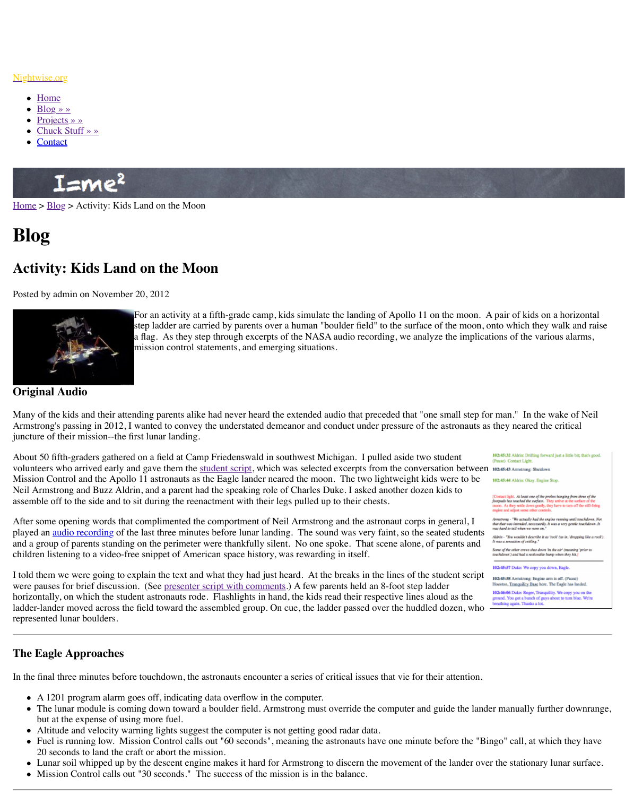

For an activity at a fifth-grade camp, kids simulate the fanding  $\alpha$ step ladder are carried by parents over a human "boulder field" a flag. As they step through excerpts of the NASA audio recording mission control statements, and emerging situations.

**[Original Audio](http://www.nightwise.org/)**

Many [of the](http://www.nightwise.org/) kids and their attending parents alike had never heard the extended audio that portugally Arms[trong's pa](http://www.nightwise.org/blog/)ssing in 2012, I wanted to convey the understated demeanor and conduct und junct[ure of their m](http://www.nightwise.org/projects/)[issio](http://www.nightwise.org/chuck-stuff/)n--the first lunar landing.

Abou[t 50 fifth](http://www.nightwise.org/contact/)-graders gathered on a field at Camp Friedenswald in southwest Michigan. I pulled as a student volunteers who arrived early and gave them the student script, which was selected excerpts from the conversation between  $\epsilon$ Mission Control and the Apollo 11 astronauts as the Eagle lander neared the moon. The two Neil Armstrong and Buzz Aldrin, and a parent had the speaking role of Charles Duke. I aske assemble off to the side and to sit during the reenactment with their legs pulled up to their chests.

[After s](http://www.nightwise.org/)o[me op](http://www.nightwise.org/blog/)ening words that complimented the comportment of Neil Armstrong and the a played an <u>audio recording</u> of the last three minutes before lunar landing. The sound was ver and a group of parents standing on the perimeter were thankfully silent. No one spoke. That children listening to a video-free snippet of American space history, was rewarding in itself.

I told them we were going to explain the text and what they had just heard. At the breaks in were pauses for brief discussion. (See presenter script with comments.) A few parents held and 8-foot step of step language and 8-foot step language in  $\frac{1}{2}$ horizontally, on which the student astronauts rode. Flashlights in hand, the kids read their re ladder-lander moved across the field toward the assembled group. On cue, the ladder passed represented lunar boulders.

## **The Eagle Approaches**

In the final three minutes before touchdown, the astronauts encounter a series of critical issues

- A 1201 program alarm goes off, indicating data overflow in the computer.
- The lunar module is coming down toward a boulder field. Armstrong must override the lander manually functionbut at the expense of using more fuel.
- Altitude and velocity warning lights suggest the computer is not getting good radar da
- Fuel is running low. Mission Control calls out "60 seconds", meaning the astronauts h 20 seconds to land the craft or abort the mission.
- Lunar soil whipped up by the descent engine makes it hard for Armstrong to discern the Lunar surface.
- Mission Control calls out "30 seconds." [The success of](http://www.nightwise.org/index.php/download_file/view/69/251/) the mission is in the balance.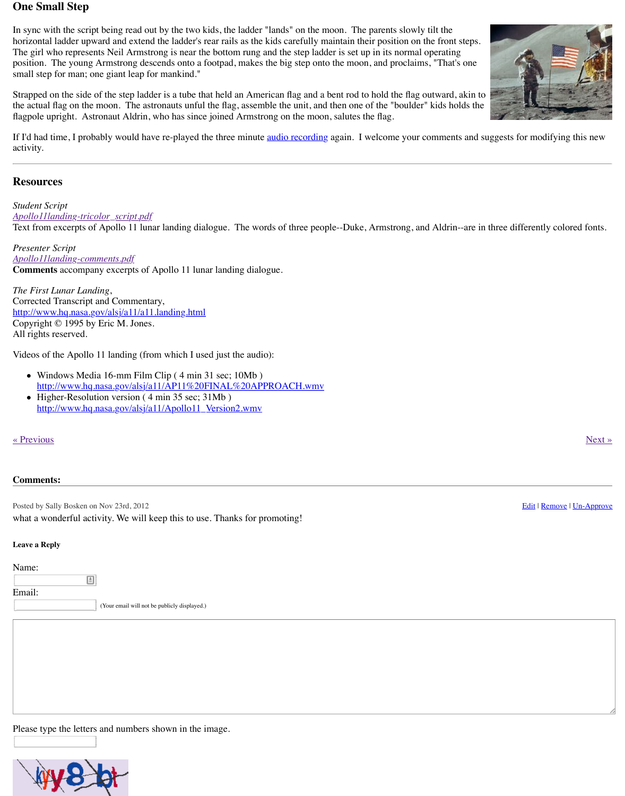http://www.horizon.com/http://www.horizon.com/html induction-html induction-html induction-html induction-html <br>http://www.horizon.com/html induction-html induction-html induction-html induction-html induction-html inducti Copyright © 1995 by Eric M. Jones. All rights reserved.

Videos of the Apollo 11 landing (from which I used just the audio):

- Windows Media 16-mm Film Clip (4 min 31 sec; 10Mb) http://www.hq.nasa.gov/alsj/a11/AP11%20FINAL%20APPROACH.wmv
- Higher-Resolution version (4 min 35 sec; 31Mb) http://www.hq.nasa.gov/alsj/a11/Apollo11\_Version2.wmv

« Previous » Next » Next » Next » Next » Next » Next » Next » Next » Next » Next » Next » Next » Next » Next » Next » Next » Next » Next » Next » Next » Next » Next » Next » Next » Next » Next » Next » Next » Next » Next »

## **Comments:**

Posted by Sally Bosken on Nov 23rd, 2012 [what a wonderful activity. We will k](http://www.nightwise.org/index.php/download_file/view/69/251/)eep this to use. Thanks for promoting!

## **Leave a Reply**

[Name:](http://www.nightwise.org/index.php/download_file/view/72/251/)

圓 Email:

(Your email will not be publicly displayed.)

Pleas[e type the letters and numbers shown in the image.](http://www.hq.nasa.gov/alsj/a11/Apollo11_Version2.wmv)